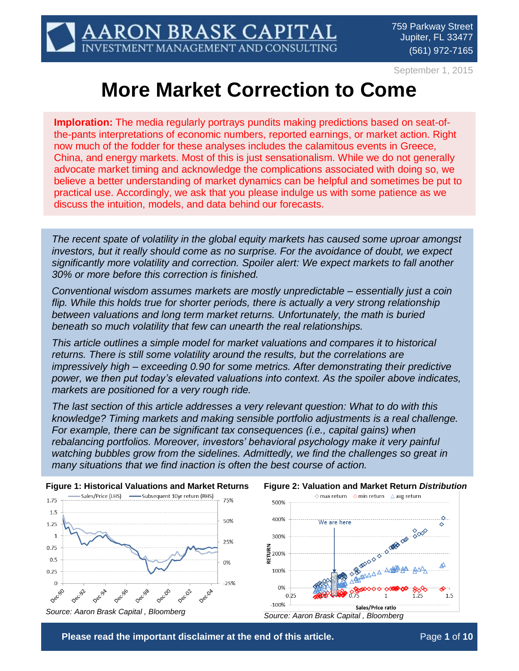September 1, 2015

# **More Market Correction to Come**

**Imploration:** The media regularly portrays pundits making predictions based on seat-ofthe-pants interpretations of economic numbers, reported earnings, or market action. Right now much of the fodder for these analyses includes the calamitous events in Greece, China, and energy markets. Most of this is just sensationalism. While we do not generally advocate market timing and acknowledge the complications associated with doing so, we believe a better understanding of market dynamics can be helpful and sometimes be put to practical use. Accordingly, we ask that you please indulge us with some patience as we discuss the intuition, models, and data behind our forecasts.

*The recent spate of volatility in the global equity markets has caused some uproar amongst investors, but it really should come as no surprise. For the avoidance of doubt, we expect significantly more volatility and correction. Spoiler alert: We expect markets to fall another 30% or more before this correction is finished.*

*Conventional wisdom assumes markets are mostly unpredictable – essentially just a coin flip. While this holds true for shorter periods, there is actually a very strong relationship between valuations and long term market returns. Unfortunately, the math is buried beneath so much volatility that few can unearth the real relationships.*

*This article outlines a simple model for market valuations and compares it to historical returns. There is still some volatility around the results, but the correlations are impressively high – exceeding 0.90 for some metrics. After demonstrating their predictive power, we then put today's elevated valuations into context. As the spoiler above indicates, markets are positioned for a very rough ride.*

*The last section of this article addresses a very relevant question: What to do with this knowledge? Timing markets and making sensible portfolio adjustments is a real challenge. For example, there can be significant tax consequences (i.e., capital gains) when rebalancing portfolios. Moreover, investors' behavioral psychology make it very painful watching bubbles grow from the sidelines. Admittedly, we find the challenges so great in many situations that we find inaction is often the best course of action.*





**Please read the important disclaimer at the end of this article. The end of 10** Page 1 of 10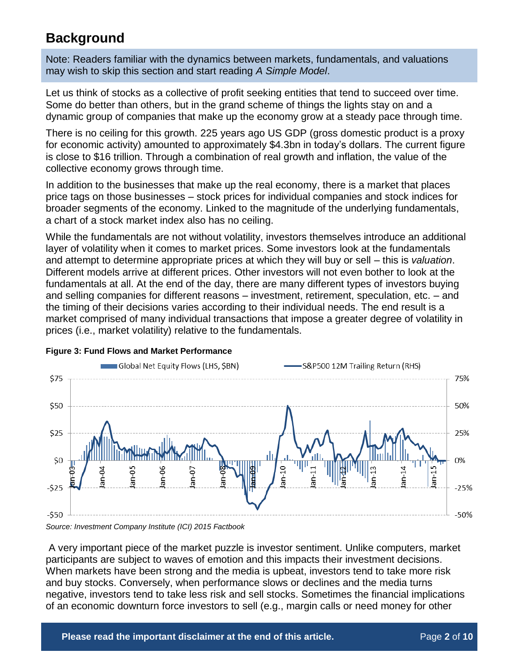# **Background**

Note: Readers familiar with the dynamics between markets, fundamentals, and valuations may wish to skip this section and start reading *A Simple Model*.

Let us think of stocks as a collective of profit seeking entities that tend to succeed over time. Some do better than others, but in the grand scheme of things the lights stay on and a dynamic group of companies that make up the economy grow at a steady pace through time.

There is no ceiling for this growth. 225 years ago US GDP (gross domestic product is a proxy for economic activity) amounted to approximately \$4.3bn in today's dollars. The current figure is close to \$16 trillion. Through a combination of real growth and inflation, the value of the collective economy grows through time.

In addition to the businesses that make up the real economy, there is a market that places price tags on those businesses – stock prices for individual companies and stock indices for broader segments of the economy. Linked to the magnitude of the underlying fundamentals, a chart of a stock market index also has no ceiling.

While the fundamentals are not without volatility, investors themselves introduce an additional layer of volatility when it comes to market prices. Some investors look at the fundamentals and attempt to determine appropriate prices at which they will buy or sell – this is *valuation*. Different models arrive at different prices. Other investors will not even bother to look at the fundamentals at all. At the end of the day, there are many different types of investors buying and selling companies for different reasons – investment, retirement, speculation, etc. – and the timing of their decisions varies according to their individual needs. The end result is a market comprised of many individual transactions that impose a greater degree of volatility in prices (i.e., market volatility) relative to the fundamentals.



#### <span id="page-1-0"></span>**Figure 3: Fund Flows and Market Performance**

*Source: Investment Company Institute (ICI) 2015 Factbook*

A very important piece of the market puzzle is investor sentiment. Unlike computers, market participants are subject to waves of emotion and this impacts their investment decisions. When markets have been strong and the media is upbeat, investors tend to take more risk and buy stocks. Conversely, when performance slows or declines and the media turns negative, investors tend to take less risk and sell stocks. Sometimes the financial implications of an economic downturn force investors to sell (e.g., margin calls or need money for other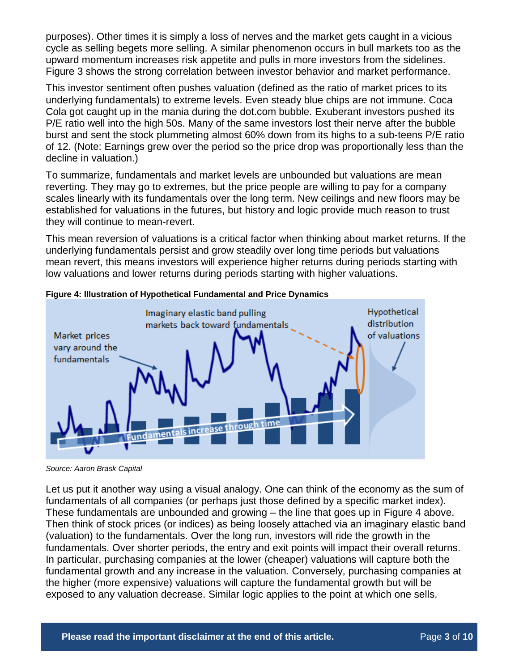purposes). Other times it is simply a loss of nerves and the market gets caught in a vicious cycle as selling begets more selling. A similar phenomenon occurs in bull markets too as the upward momentum increases risk appetite and pulls in more investors from the sidelines. [Figure 3](#page-1-0) shows the strong correlation between investor behavior and market performance.

This investor sentiment often pushes valuation (defined as the ratio of market prices to its underlying fundamentals) to extreme levels. Even steady blue chips are not immune. Coca Cola got caught up in the mania during the dot.com bubble. Exuberant investors pushed its P/E ratio well into the high 50s. Many of the same investors lost their nerve after the bubble burst and sent the stock plummeting almost 60% down from its highs to a sub-teens P/E ratio of 12. (Note: Earnings grew over the period so the price drop was proportionally less than the decline in valuation.)

To summarize, fundamentals and market levels are unbounded but valuations are mean reverting. They may go to extremes, but the price people are willing to pay for a company scales linearly with its fundamentals over the long term. New ceilings and new floors may be established for valuations in the futures, but history and logic provide much reason to trust they will continue to mean-revert.

This mean reversion of valuations is a critical factor when thinking about market returns. If the underlying fundamentals persist and grow steadily over long time periods but valuations mean revert, this means investors will experience higher returns during periods starting with low valuations and lower returns during periods starting with higher valuations.



#### <span id="page-2-0"></span>**Figure 4: Illustration of Hypothetical Fundamental and Price Dynamics**

*Source: Aaron Brask Capital* 

Let us put it another way using a visual analogy. One can think of the economy as the sum of fundamentals of all companies (or perhaps just those defined by a specific market index). These fundamentals are unbounded and growing – the line that goes up in [Figure 4](#page-2-0) above. Then think of stock prices (or indices) as being loosely attached via an imaginary elastic band (valuation) to the fundamentals. Over the long run, investors will ride the growth in the fundamentals. Over shorter periods, the entry and exit points will impact their overall returns. In particular, purchasing companies at the lower (cheaper) valuations will capture both the fundamental growth and any increase in the valuation. Conversely, purchasing companies at the higher (more expensive) valuations will capture the fundamental growth but will be exposed to any valuation decrease. Similar logic applies to the point at which one sells.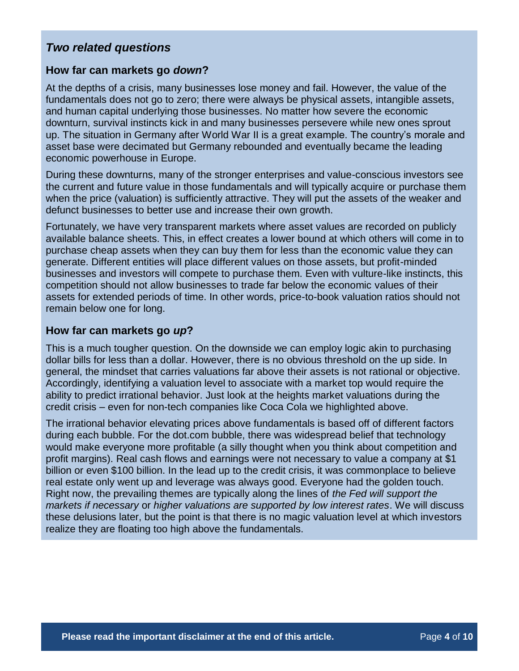#### *Two related questions*

#### **How far can markets go** *down***?**

At the depths of a crisis, many businesses lose money and fail. However, the value of the fundamentals does not go to zero; there were always be physical assets, intangible assets, and human capital underlying those businesses. No matter how severe the economic downturn, survival instincts kick in and many businesses persevere while new ones sprout up. The situation in Germany after World War II is a great example. The country's morale and asset base were decimated but Germany rebounded and eventually became the leading economic powerhouse in Europe.

During these downturns, many of the stronger enterprises and value-conscious investors see the current and future value in those fundamentals and will typically acquire or purchase them when the price (valuation) is sufficiently attractive. They will put the assets of the weaker and defunct businesses to better use and increase their own growth.

Fortunately, we have very transparent markets where asset values are recorded on publicly available balance sheets. This, in effect creates a lower bound at which others will come in to purchase cheap assets when they can buy them for less than the economic value they can generate. Different entities will place different values on those assets, but profit-minded businesses and investors will compete to purchase them. Even with vulture-like instincts, this competition should not allow businesses to trade far below the economic values of their assets for extended periods of time. In other words, price-to-book valuation ratios should not remain below one for long.

#### **How far can markets go** *up***?**

This is a much tougher question. On the downside we can employ logic akin to purchasing dollar bills for less than a dollar. However, there is no obvious threshold on the up side. In general, the mindset that carries valuations far above their assets is not rational or objective. Accordingly, identifying a valuation level to associate with a market top would require the ability to predict irrational behavior. Just look at the heights market valuations during the credit crisis – even for non-tech companies like Coca Cola we highlighted above.

The irrational behavior elevating prices above fundamentals is based off of different factors during each bubble. For the dot.com bubble, there was widespread belief that technology would make everyone more profitable (a silly thought when you think about competition and profit margins). Real cash flows and earnings were not necessary to value a company at \$1 billion or even \$100 billion. In the lead up to the credit crisis, it was commonplace to believe real estate only went up and leverage was always good. Everyone had the golden touch. Right now, the prevailing themes are typically along the lines of *the Fed will support the markets if necessary* or *higher valuations are supported by low interest rates*. We will discuss these delusions later, but the point is that there is no magic valuation level at which investors realize they are floating too high above the fundamentals.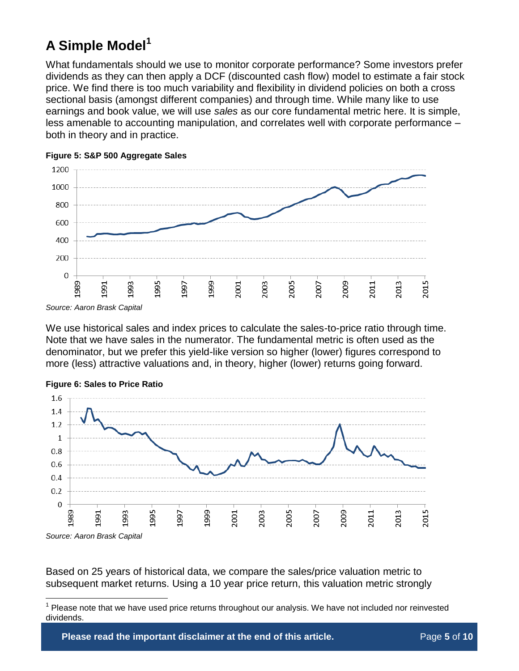# **A Simple Model<sup>1</sup>**

What fundamentals should we use to monitor corporate performance? Some investors prefer dividends as they can then apply a DCF (discounted cash flow) model to estimate a fair stock price. We find there is too much variability and flexibility in dividend policies on both a cross sectional basis (amongst different companies) and through time. While many like to use earnings and book value, we will use *sales* as our core fundamental metric here. It is simple, less amenable to accounting manipulation, and correlates well with corporate performance – both in theory and in practice.



#### **Figure 5: S&P 500 Aggregate Sales**

*Source: Aaron Brask Capital* 

We use historical sales and index prices to calculate the sales-to-price ratio through time. Note that we have sales in the numerator. The fundamental metric is often used as the denominator, but we prefer this yield-like version so higher (lower) figures correspond to more (less) attractive valuations and, in theory, higher (lower) returns going forward.



**Figure 6: Sales to Price Ratio**

 $\overline{a}$ 

Based on 25 years of historical data, we compare the sales/price valuation metric to subsequent market returns. Using a 10 year price return, this valuation metric strongly

**Please read the important disclaimer at the end of this article. Page 5 of 10** 

Please note that we have used price returns throughout our analysis. We have not included nor reinvested dividends.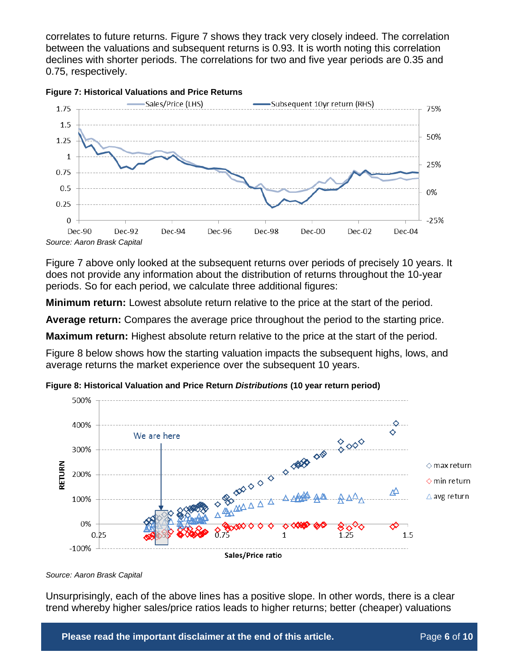correlates to future returns. [Figure 7](#page-5-0) shows they track very closely indeed. The correlation between the valuations and subsequent returns is 0.93. It is worth noting this correlation declines with shorter periods. The correlations for two and five year periods are 0.35 and 0.75, respectively.

<span id="page-5-0"></span>

[Figure 7](#page-5-0) above only looked at the subsequent returns over periods of precisely 10 years. It does not provide any information about the distribution of returns throughout the 10-year periods. So for each period, we calculate three additional figures:

**Minimum return:** Lowest absolute return relative to the price at the start of the period.

**Average return:** Compares the average price throughout the period to the starting price.

**Maximum return:** Highest absolute return relative to the price at the start of the period.

[Figure 8](#page-5-1) below shows how the starting valuation impacts the subsequent highs, lows, and average returns the market experience over the subsequent 10 years.

<span id="page-5-1"></span>



*Source: Aaron Brask Capital* 

Unsurprisingly, each of the above lines has a positive slope. In other words, there is a clear trend whereby higher sales/price ratios leads to higher returns; better (cheaper) valuations

**Please read the important disclaimer at the end of this article. Page 6 of 10** Page 6 of 10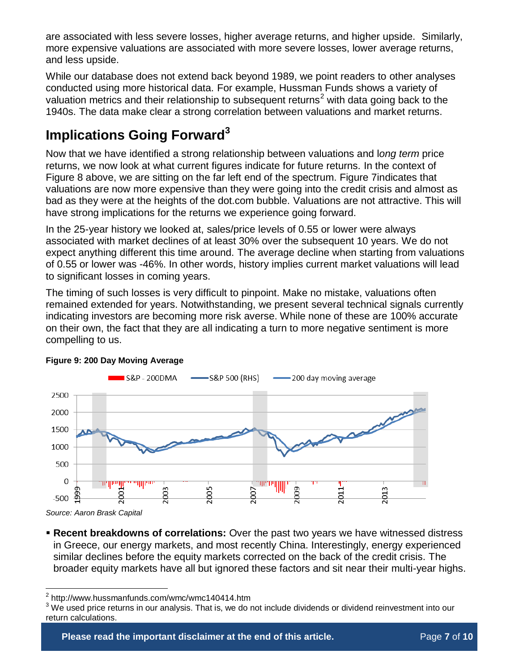are associated with less severe losses, higher average returns, and higher upside. Similarly, more expensive valuations are associated with more severe losses, lower average returns, and less upside.

While our database does not extend back beyond 1989, we point readers to other analyses conducted using more historical data. For example, Hussman Funds shows a variety of valuation metrics and their relationship to subsequent returns<sup>2</sup> with data going back to the 1940s. The data make clear a strong correlation between valuations and market returns.

# **Implications Going Forward<sup>3</sup>**

Now that we have identified a strong relationship between valuations and l*ong term* price returns, we now look at what current figures indicate for future returns. In the context of [Figure 8](#page-5-1) above, we are sitting on the far left end of the spectrum. [Figure 7i](#page-5-0)ndicates that valuations are now more expensive than they were going into the credit crisis and almost as bad as they were at the heights of the dot.com bubble. Valuations are not attractive. This will have strong implications for the returns we experience going forward.

In the 25-year history we looked at, sales/price levels of 0.55 or lower were always associated with market declines of at least 30% over the subsequent 10 years. We do not expect anything different this time around. The average decline when starting from valuations of 0.55 or lower was -46%. In other words, history implies current market valuations will lead to significant losses in coming years.

The timing of such losses is very difficult to pinpoint. Make no mistake, valuations often remained extended for years. Notwithstanding, we present several technical signals currently indicating investors are becoming more risk averse. While none of these are 100% accurate on their own, the fact that they are all indicating a turn to more negative sentiment is more compelling to us.



#### <span id="page-6-0"></span>**Figure 9: 200 Day Moving Average**

*Source: Aaron Brask Capital* 

 **Recent breakdowns of correlations:** Over the past two years we have witnessed distress in Greece, our energy markets, and most recently China. Interestingly, energy experienced similar declines before the equity markets corrected on the back of the credit crisis. The broader equity markets have all but ignored these factors and sit near their multi-year highs.

 $\frac{1}{2}$ http://www.hussmanfunds.com/wmc/wmc140414.htm

 $3$  We used price returns in our analysis. That is, we do not include dividends or dividend reinvestment into our return calculations.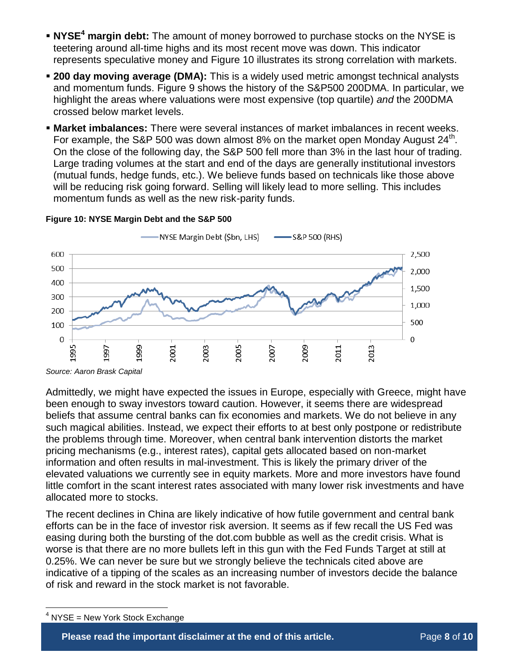- **NYSE<sup>4</sup>** margin debt: The amount of money borrowed to purchase stocks on the NYSE is teetering around all-time highs and its most recent move was down. This indicator represents speculative money and [Figure 10](#page-7-0) illustrates its strong correlation with markets.
- **200 day moving average (DMA):** This is a widely used metric amongst technical analysts and momentum funds. [Figure 9](#page-6-0) shows the history of the S&P500 200DMA. In particular, we highlight the areas where valuations were most expensive (top quartile) *and* the 200DMA crossed below market levels.
- **Market imbalances:** There were several instances of market imbalances in recent weeks. For example, the S&P 500 was down almost 8% on the market open Monday August 24<sup>th</sup>. On the close of the following day, the S&P 500 fell more than 3% in the last hour of trading. Large trading volumes at the start and end of the days are generally institutional investors (mutual funds, hedge funds, etc.). We believe funds based on technicals like those above will be reducing risk going forward. Selling will likely lead to more selling. This includes momentum funds as well as the new risk-parity funds.



#### <span id="page-7-0"></span>**Figure 10: NYSE Margin Debt and the S&P 500**

Admittedly, we might have expected the issues in Europe, especially with Greece, might have been enough to sway investors toward caution. However, it seems there are widespread beliefs that assume central banks can fix economies and markets. We do not believe in any such magical abilities. Instead, we expect their efforts to at best only postpone or redistribute the problems through time. Moreover, when central bank intervention distorts the market pricing mechanisms (e.g., interest rates), capital gets allocated based on non-market information and often results in mal-investment. This is likely the primary driver of the elevated valuations we currently see in equity markets. More and more investors have found little comfort in the scant interest rates associated with many lower risk investments and have allocated more to stocks.

The recent declines in China are likely indicative of how futile government and central bank efforts can be in the face of investor risk aversion. It seems as if few recall the US Fed was easing during both the bursting of the dot.com bubble as well as the credit crisis. What is worse is that there are no more bullets left in this gun with the Fed Funds Target at still at 0.25%. We can never be sure but we strongly believe the technicals cited above are indicative of a tipping of the scales as an increasing number of investors decide the balance of risk and reward in the stock market is not favorable.

 $\overline{a}$ 

**Please read the important disclaimer at the end of this article. Page 8 of 10** 

NYSE = New York Stock Exchange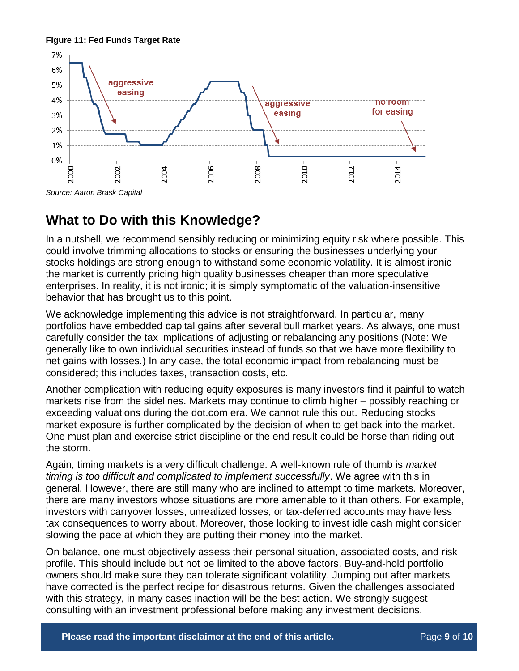#### **Figure 11: Fed Funds Target Rate**



# **What to Do with this Knowledge?**

In a nutshell, we recommend sensibly reducing or minimizing equity risk where possible. This could involve trimming allocations to stocks or ensuring the businesses underlying your stocks holdings are strong enough to withstand some economic volatility. It is almost ironic the market is currently pricing high quality businesses cheaper than more speculative enterprises. In reality, it is not ironic; it is simply symptomatic of the valuation-insensitive behavior that has brought us to this point.

We acknowledge implementing this advice is not straightforward. In particular, many portfolios have embedded capital gains after several bull market years. As always, one must carefully consider the tax implications of adjusting or rebalancing any positions (Note: We generally like to own individual securities instead of funds so that we have more flexibility to net gains with losses.) In any case, the total economic impact from rebalancing must be considered; this includes taxes, transaction costs, etc.

Another complication with reducing equity exposures is many investors find it painful to watch markets rise from the sidelines. Markets may continue to climb higher – possibly reaching or exceeding valuations during the dot.com era. We cannot rule this out. Reducing stocks market exposure is further complicated by the decision of when to get back into the market. One must plan and exercise strict discipline or the end result could be horse than riding out the storm.

Again, timing markets is a very difficult challenge. A well-known rule of thumb is *market timing is too difficult and complicated to implement successfully*. We agree with this in general. However, there are still many who are inclined to attempt to time markets. Moreover, there are many investors whose situations are more amenable to it than others. For example, investors with carryover losses, unrealized losses, or tax-deferred accounts may have less tax consequences to worry about. Moreover, those looking to invest idle cash might consider slowing the pace at which they are putting their money into the market.

On balance, one must objectively assess their personal situation, associated costs, and risk profile. This should include but not be limited to the above factors. Buy-and-hold portfolio owners should make sure they can tolerate significant volatility. Jumping out after markets have corrected is the perfect recipe for disastrous returns. Given the challenges associated with this strategy, in many cases inaction will be the best action. We strongly suggest consulting with an investment professional before making any investment decisions.

**Please read the important disclaimer at the end of this article.** Page **9** of **10**